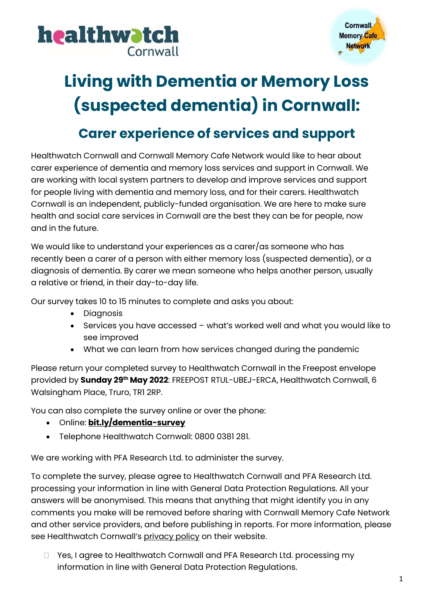



# **Living with Dementia or Memory Loss (suspected dementia) in Cornwall:**

# **Carer experience of services and support**

Healthwatch Cornwall and Cornwall Memory Cafe Network would like to hear about carer experience of dementia and memory loss services and support in Cornwall. We are working with local system partners to develop and improve services and support for people living with dementia and memory loss, and for their carers. Healthwatch Cornwall is an independent, publicly-funded organisation. We are here to make sure health and social care services in Cornwall are the best they can be for people, now and in the future.

We would like to understand your experiences as a carer/as someone who has recently been a carer of a person with either memory loss (suspected dementia), or a diagnosis of dementia. By carer we mean someone who helps another person, usually a relative or friend, in their day-to-day life.

Our survey takes 10 to 15 minutes to complete and asks you about:

- Diagnosis
- Services you have accessed what's worked well and what you would like to see improved
- What we can learn from how services changed during the pandemic

Please return your completed survey to Healthwatch Cornwall in the Freepost envelope provided by **Sunday 29th May 2022**: FREEPOST RTUL-UBEJ-ERCA, Healthwatch Cornwall, 6 Walsingham Place, Truro, TR1 2RP.

You can also complete the survey online or over the phone:

- Online: **[bit.ly/dementia-survey](https://wh1.snapsurveys.com/s.asp?k=165037687767)**
- Telephone Healthwatch Cornwall: 0800 0381 281.

We are working with PFA Research Ltd. to administer the survey.

To complete the survey, please agree to Healthwatch Cornwall and PFA Research Ltd. processing your information in line with General Data Protection Regulations. All your answers will be anonymised. This means that anything that might identify you in any comments you make will be removed before sharing with Cornwall Memory Cafe Network and other service providers, and before publishing in reports. For more information, please see Healthwatch Cornwall's [privacy policy](https://www.healthwatchcornwall.co.uk/privacy#:~:text=Healthwatch%20Cornwall%20will%20never%20share,the%20information%20you%20have%20shared.) on their website.

□ Yes, I agree to Healthwatch Cornwall and PFA Research Ltd. processing my information in line with General Data Protection Regulations.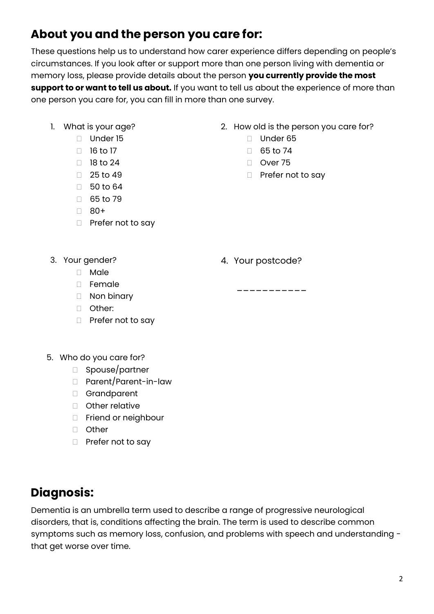# **About you and the person you care for:**

These questions help us to understand how carer experience differs depending on people's circumstances. If you look after or support more than one person living with dementia or memory loss, please provide details about the person **you currently provide the most support to or want to tell us about.** If you want to tell us about the experience of more than one person you care for, you can fill in more than one survey.

- 1. What is your age?
	- Under 15
	- $\Box$  16 to 17
	- □ 18 to 24
	- $\Box$  25 to 49
	- □ 50 to 64
	- □ 65 to 79
	- $\Box$  80+
	- $\Box$  Prefer not to say
- 2. How old is the person you care for?
	- D Under 65
	- $\Box$  65 to 74
	- Over 75
	- $\Box$  Prefer not to say

3. Your gender?

#### 4. Your postcode?

\_\_\_\_\_\_\_\_\_\_\_

- Male
- $\Box$  Female
- □ Non binary
- □ Other:
- $\Box$  Prefer not to say
- 5. Who do you care for?
	- □ Spouse/partner
	- Parent/Parent-in-law
	- Grandparent
	- **D** Other relative
	- **Friend or neighbour**
	- n Other
	- $\Box$  Prefer not to say

# **Diagnosis:**

Dementia is an umbrella term used to describe a range of progressive neurological disorders, that is, conditions affecting the brain. The term is used to describe common symptoms such as memory loss, confusion, and problems with speech and understanding that get worse over time.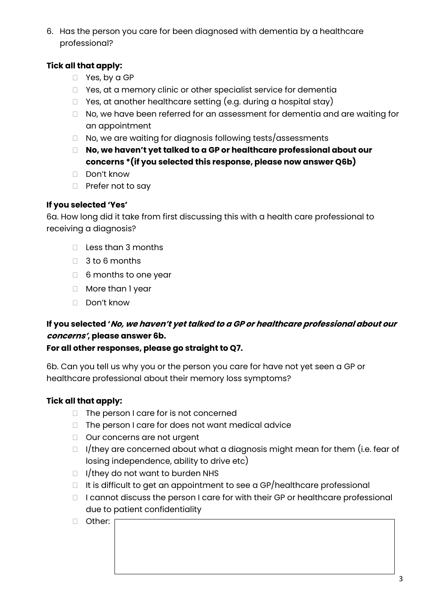6. Has the person you care for been diagnosed with dementia by a healthcare professional?

#### **Tick all that apply:**

- □ Yes, by a GP
- □ Yes, at a memory clinic or other specialist service for dementia
- $\Box$  Yes, at another healthcare setting (e.g. during a hospital stay)
- □ No, we have been referred for an assessment for dementia and are waiting for an appointment
- $\Box$  No, we are waiting for diagnosis following tests/assessments
- **No, we haven't yet talked to a GP or healthcare professional about our concerns \*(if you selected this response, please now answer Q6b)**
- Don't know
- $\Box$  Prefer not to say

#### **If you selected 'Yes'**

6a. How long did it take from first discussing this with a health care professional to receiving a diagnosis?

- □ Less than 3 months
- □ 3 to 6 months
- □ 6 months to one year
- More than 1 year
- □ Don't know

#### **If you selected 'No, we haven't yet talked to a GP or healthcare professional about our concerns', please answer 6b.**

#### **For all other responses, please go straight to Q7.**

6b. Can you tell us why you or the person you care for have not yet seen a GP or healthcare professional about their memory loss symptoms?

#### **Tick all that apply:**

- $\Box$  The person I care for is not concerned
- $\Box$  The person I care for does not want medical advice
- □ Our concerns are not urgent
- $\Box$  I/they are concerned about what a diagnosis might mean for them (i.e. fear of losing independence, ability to drive etc)
- $\Box$  I/they do not want to burden NHS
- $\Box$  It is difficult to get an appointment to see a GP/healthcare professional
- □ I cannot discuss the person I care for with their GP or healthcare professional due to patient confidentiality
- Other: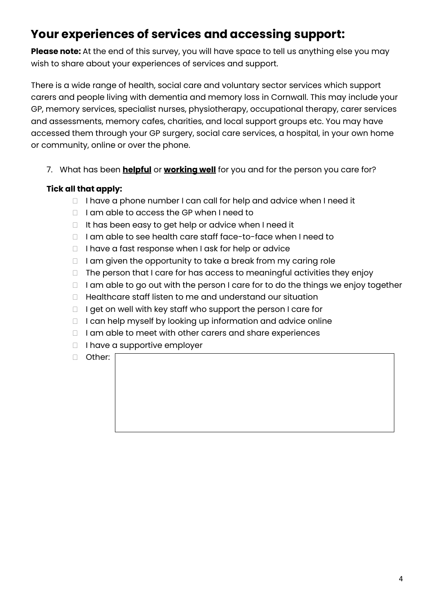### **Your experiences of services and accessing support:**

**Please note:** At the end of this survey, you will have space to tell us anything else you may wish to share about your experiences of services and support.

There is a wide range of health, social care and voluntary sector services which support carers and people living with dementia and memory loss in Cornwall. This may include your GP, memory services, specialist nurses, physiotherapy, occupational therapy, carer services and assessments, memory cafes, charities, and local support groups etc. You may have accessed them through your GP surgery, social care services, a hospital, in your own home or community, online or over the phone.

7. What has been **helpful** or **working well** for you and for the person you care for?

#### **Tick all that apply:**

- $\Box$  I have a phone number I can call for help and advice when I need it
- □ I am able to access the GP when I need to
- □ It has been easy to get help or advice when I need it
- □ lam able to see health care staff face-to-face when I need to
- $\Box$  I have a fast response when I ask for help or advice
- $\Box$  I am given the opportunity to take a break from my caring role
- $\Box$  The person that I care for has access to meaningful activities they enjoy
- $\Box$  I am able to go out with the person I care for to do the things we enjoy together
- □ Healthcare staff listen to me and understand our situation
- $\Box$  I get on well with key staff who support the person I care for
- $\Box$  I can help myself by looking up information and advice online
- $\Box$  I am able to meet with other carers and share experiences
- $\Box$  I have a supportive employer
- D Other: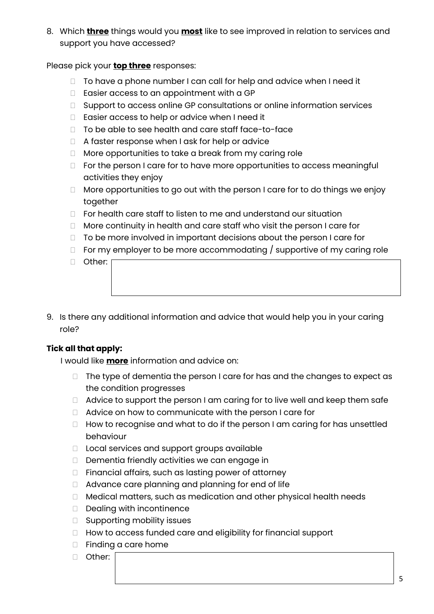8. Which **three** things would you **most** like to see improved in relation to services and support you have accessed?

Please pick your **top three** responses:

- $\Box$  To have a phone number I can call for help and advice when I need it
- $\Box$  Easier access to an appointment with a GP
- □ Support to access online GP consultations or online information services
- □ Easier access to help or advice when I need it
- □ To be able to see health and care staff face-to-face
- □ A faster response when I ask for help or advice
- $\Box$  More opportunities to take a break from my caring role
- $\Box$  For the person I care for to have more opportunities to access meaningful activities they enjoy
- $\Box$  More opportunities to go out with the person I care for to do things we enjoy together
- $\Box$  For health care staff to listen to me and understand our situation
- $\Box$  More continuity in health and care staff who visit the person I care for
- $\Box$  To be more involved in important decisions about the person I care for
- $\Box$  For my employer to be more accommodating / supportive of my caring role
- n Other:
- 9. Is there any additional information and advice that would help you in your caring role?

#### **Tick all that apply:**

I would like **more** information and advice on:

- $\Box$  The type of dementia the person I care for has and the changes to expect as the condition progresses
- $\Box$  Advice to support the person I am caring for to live well and keep them safe
- □ Advice on how to communicate with the person I care for
- $\Box$  How to recognise and what to do if the person I am caring for has unsettled behaviour
- $\Box$  Local services and support groups available
- Dementia friendly activities we can engage in
- $\Box$  Financial affairs, such as lasting power of attorney
- □ Advance care planning and planning for end of life
- □ Medical matters, such as medication and other physical health needs
- Dealing with incontinence
- □ Supporting mobility issues
- □ How to access funded care and eligibility for financial support
- □ Finding a care home
- □ Other: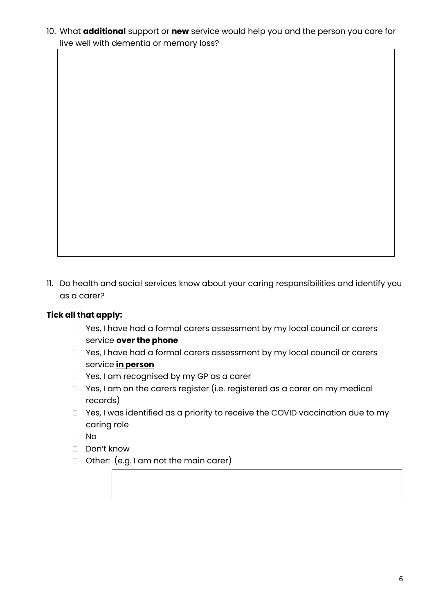10. What **additional** support or **new** service would help you and the person you care for live well with dementia or memory loss?

11. Do health and social services know about your caring responsibilities and identify you as a carer?

#### **Tick all that apply:**

- □ Yes, I have had a formal carers assessment by my local council or carers service **over the phone**
- Yes, I have had a formal carers assessment by my local council or carers service **in person**
- □ Yes, I am recognised by my GP as a carer
- $\Box$  Yes, I am on the carers register (i.e. registered as a carer on my medical records)
- □ Yes, I was identified as a priority to receive the COVID vaccination due to my caring role
- $\Box$  No
- □ Don't know
- □ Other: (e.g. I am not the main carer)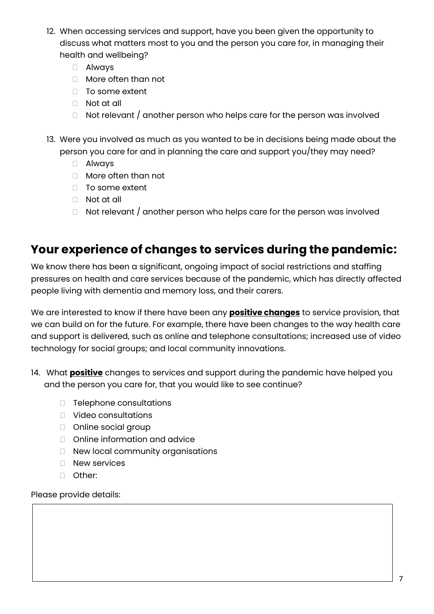- 12. When accessing services and support, have you been given the opportunity to discuss what matters most to you and the person you care for, in managing their health and wellbeing?
	- Always
	- □ More often than not
	- $\Box$  To some extent
	- □ Not at all
	- $\Box$  Not relevant / another person who helps care for the person was involved
- 13. Were you involved as much as you wanted to be in decisions being made about the person you care for and in planning the care and support you/they may need?
	- Always
	- □ More often than not
	- □ To some extent
	- □ Not at all
	- $\Box$  Not relevant / another person who helps care for the person was involved

### **Your experience of changes to services during the pandemic:**

We know there has been a significant, ongoing impact of social restrictions and staffing pressures on health and care services because of the pandemic, which has directly affected people living with dementia and memory loss, and their carers.

We are interested to know if there have been any **positive changes** to service provision, that we can build on for the future. For example, there have been changes to the way health care and support is delivered, such as online and telephone consultations; increased use of video technology for social groups; and local community innovations.

- 14. What **positive** changes to services and support during the pandemic have helped you and the person you care for, that you would like to see continue?
	- D Telephone consultations
	- Video consultations
	- □ Online social group
	- □ Online information and advice
	- □ New local community organisations
	- D New services
	- D Other:

#### Please provide details: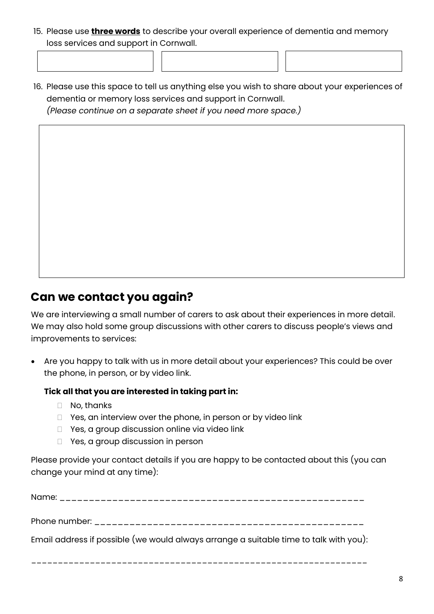- 15. Please use **three words** to describe your overall experience of dementia and memory loss services and support in Cornwall.
- 16. Please use this space to tell us anything else you wish to share about your experiences of dementia or memory loss services and support in Cornwall.

*(Please continue on a separate sheet if you need more space.)*

### **Can we contact you again?**

We are interviewing a small number of carers to ask about their experiences in more detail. We may also hold some group discussions with other carers to discuss people's views and improvements to services:

• Are you happy to talk with us in more detail about your experiences? This could be over the phone, in person, or by video link.

#### **Tick all that you are interested in taking part in:**

- No, thanks
- $\Box$  Yes, an interview over the phone, in person or by video link
- □ Yes, a group discussion online via video link
- □ Yes, a group discussion in person

Please provide your contact details if you are happy to be contacted about this (you can change your mind at any time):

| Name |  |  |  |
|------|--|--|--|
|      |  |  |  |
|      |  |  |  |

Phone number: \_\_\_\_\_\_\_\_\_\_\_\_\_\_\_\_\_\_\_\_\_\_\_\_\_\_\_\_\_\_\_\_\_\_\_\_\_\_\_\_\_\_\_\_\_\_

Email address if possible (we would always arrange a suitable time to talk with you):

\_\_\_\_\_\_\_\_\_\_\_\_\_\_\_\_\_\_\_\_\_\_\_\_\_\_\_\_\_\_\_\_\_\_\_\_\_\_\_\_\_\_\_\_\_\_\_\_\_\_\_\_\_\_\_\_\_\_\_\_\_\_\_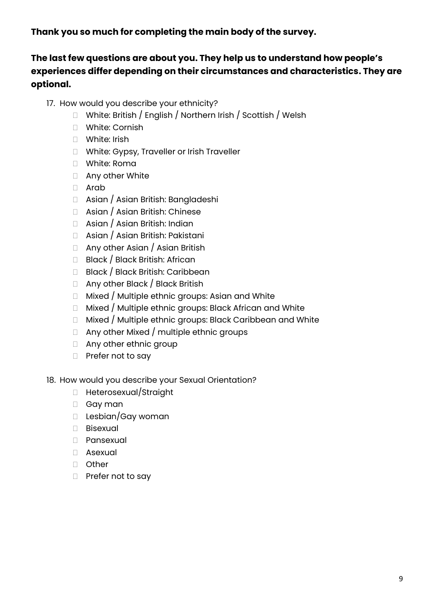#### **Thank you so much for completing the main body of the survey.**

#### **The last few questions are about you. They help us to understand how people's experiences differ depending on their circumstances and characteristics. They are optional.**

- 17. How would you describe your ethnicity?
	- □ White: British / English / Northern Irish / Scottish / Welsh
	- White: Cornish
	- White: Irish
	- □ White: Gypsy, Traveller or Irish Traveller
	- □ White: Roma
	- **Any other White**
	- Arab
	- □ Asian / Asian British: Bangladeshi
	- □ Asian / Asian British: Chinese
	- □ Asian / Asian British: Indian
	- Asian / Asian British: Pakistani
	- □ Any other Asian / Asian British
	- □ Black / Black British: African
	- □ Black / Black British: Caribbean
	- □ Any other Black / Black British
	- $\Box$  Mixed / Multiple ethnic groups: Asian and White
	- □ Mixed / Multiple ethnic groups: Black African and White
	- □ Mixed / Multiple ethnic groups: Black Caribbean and White
	- $\Box$  Any other Mixed / multiple ethnic groups
	- □ Any other ethnic group
	- **Prefer not to say**
- 18. How would you describe your Sexual Orientation?
	- □ Heterosexual/Straight
	- Gay man
	- □ Lesbian/Gay woman
	- Bisexual
	- Pansexual
	- Asexual
	- Other
	- $\Box$  Prefer not to say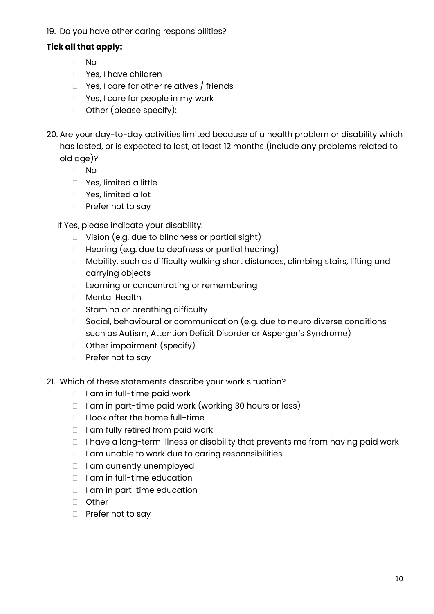19. Do you have other caring responsibilities?

#### **Tick all that apply:**

- $\Box$  No
- □ Yes, I have children
- □ Yes, I care for other relatives / friends
- □ Yes, I care for people in my work
- □ Other (please specify):
- 20. Are your day-to-day activities limited because of a health problem or disability which has lasted, or is expected to last, at least 12 months (include any problems related to old age)?
	- No
	- □ Yes, limited a little
	- □ Yes, limited a lot
	- $\Box$  Prefer not to sav

If Yes, please indicate your disability:

- □ Vision (e.g. due to blindness or partial sight)
- $\Box$  Hearing (e.g. due to deafness or partial hearing)
- □ Mobility, such as difficulty walking short distances, climbing stairs, lifting and carrying objects
- □ Learning or concentrating or remembering
- □ Mental Health
- □ Stamina or breathing difficulty
- □ Social, behavioural or communication (e.g. due to neuro diverse conditions such as Autism, Attention Deficit Disorder or Asperger's Syndrome)
- Other impairment (specify)
- $\Box$  Prefer not to say
- 21. Which of these statements describe your work situation?
	- $\Box$  I am in full-time paid work
	- $\Box$  I am in part-time paid work (working 30 hours or less)
	- $\Box$  I look after the home full-time
	- $\Box$  I am fully retired from paid work
	- $\Box$  I have a long-term illness or disability that prevents me from having paid work
	- $\Box$  I am unable to work due to caring responsibilities
	- □ I am currently unemployed
	- □ I am in full-time education
	- □ I am in part-time education
	- □ Other
	- $\Box$  Prefer not to say